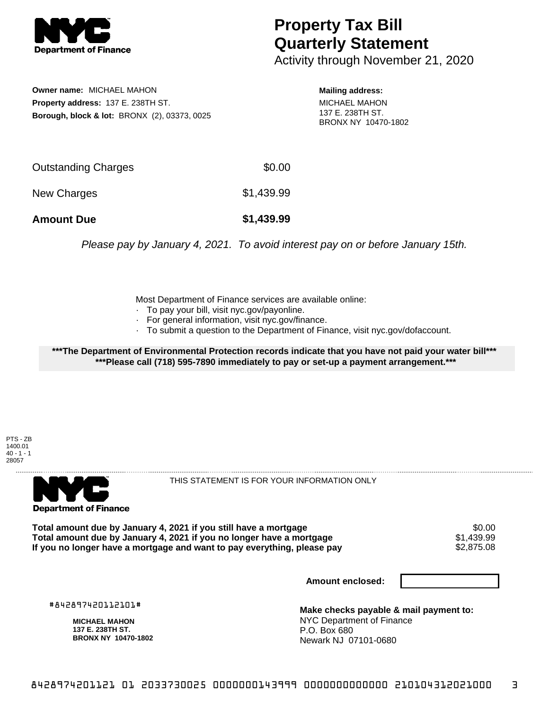

## **Property Tax Bill Quarterly Statement**

Activity through November 21, 2020

**Owner name:** MICHAEL MAHON **Property address:** 137 E. 238TH ST. **Borough, block & lot:** BRONX (2), 03373, 0025 **Mailing address:**

MICHAEL MAHON 137 E. 238TH ST. BRONX NY 10470-1802

| <b>Amount Due</b>   | \$1,439.99 |
|---------------------|------------|
| New Charges         | \$1,439.99 |
| Outstanding Charges | \$0.00     |

Please pay by January 4, 2021. To avoid interest pay on or before January 15th.

Most Department of Finance services are available online:

- · To pay your bill, visit nyc.gov/payonline.
- For general information, visit nyc.gov/finance.
- · To submit a question to the Department of Finance, visit nyc.gov/dofaccount.

**\*\*\*The Department of Environmental Protection records indicate that you have not paid your water bill\*\*\* \*\*\*Please call (718) 595-7890 immediately to pay or set-up a payment arrangement.\*\*\***





THIS STATEMENT IS FOR YOUR INFORMATION ONLY

Total amount due by January 4, 2021 if you still have a mortgage \$0.00<br>Total amount due by January 4, 2021 if you no longer have a mortgage \$1.439.99 **Total amount due by January 4, 2021 if you no longer have a mortgage**  $$1,439.99$ **<br>If you no longer have a mortgage and want to pay everything, please pay**  $$2.875.08$ If you no longer have a mortgage and want to pay everything, please pay

**Amount enclosed:**

#842897420112101#

**MICHAEL MAHON 137 E. 238TH ST. BRONX NY 10470-1802**

**Make checks payable & mail payment to:** NYC Department of Finance P.O. Box 680 Newark NJ 07101-0680